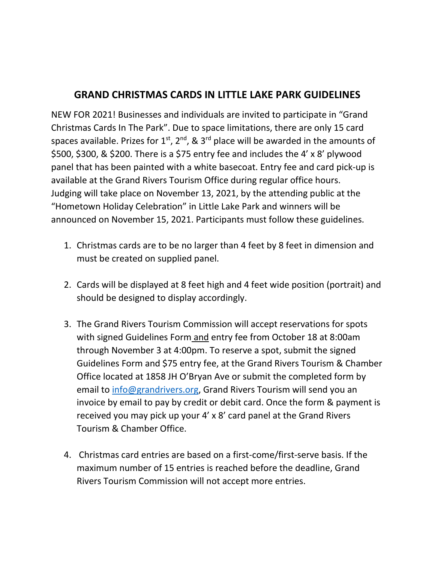## **GRAND CHRISTMAS CARDS IN LITTLE LAKE PARK GUIDELINES**

NEW FOR 2021! Businesses and individuals are invited to participate in "Grand Christmas Cards In The Park". Due to space limitations, there are only 15 card spaces available. Prizes for  $1^{st}$ ,  $2^{nd}$ , &  $3^{rd}$  place will be awarded in the amounts of \$500, \$300, & \$200. There is a \$75 entry fee and includes the 4' x 8' plywood panel that has been painted with a white basecoat. Entry fee and card pick-up is available at the Grand Rivers Tourism Office during regular office hours. Judging will take place on November 13, 2021, by the attending public at the "Hometown Holiday Celebration" in Little Lake Park and winners will be announced on November 15, 2021. Participants must follow these guidelines.

- 1. Christmas cards are to be no larger than 4 feet by 8 feet in dimension and must be created on supplied panel.
- 2. Cards will be displayed at 8 feet high and 4 feet wide position (portrait) and should be designed to display accordingly.
- 3. The Grand Rivers Tourism Commission will accept reservations for spots with signed Guidelines Form and entry fee from October 18 at 8:00am through November 3 at 4:00pm. To reserve a spot, submit the signed Guidelines Form and \$75 entry fee, at the Grand Rivers Tourism & Chamber Office located at 1858 JH O'Bryan Ave or submit the completed form by email to [info@grandrivers.org,](mailto:info@grandrivers.org) Grand Rivers Tourism will send you an invoice by email to pay by credit or debit card. Once the form & payment is received you may pick up your 4' x 8' card panel at the Grand Rivers Tourism & Chamber Office.
- 4. Christmas card entries are based on a first-come/first-serve basis. If the maximum number of 15 entries is reached before the deadline, Grand Rivers Tourism Commission will not accept more entries.